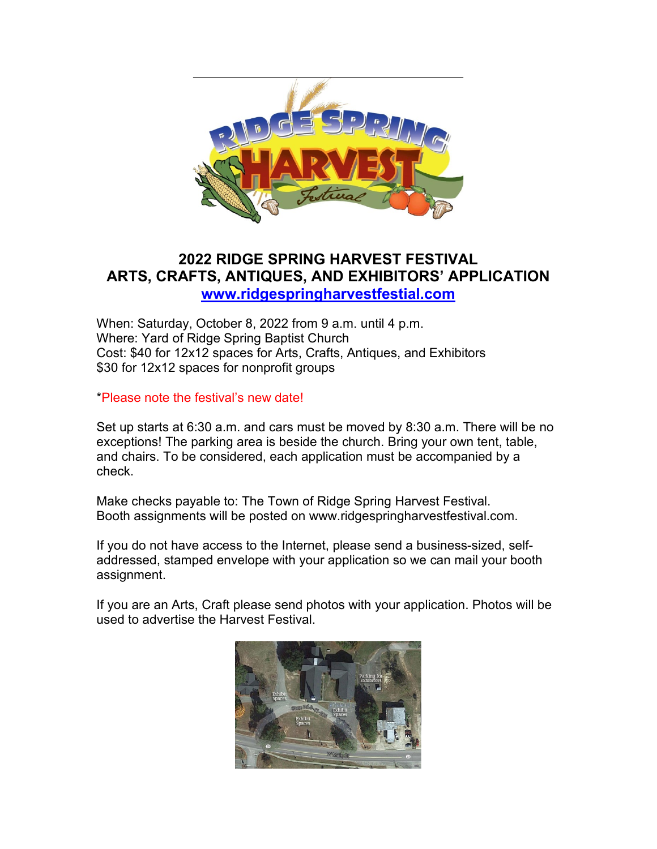

## **2022 RIDGE SPRING HARVEST FESTIVAL ARTS, CRAFTS, ANTIQUES, AND EXHIBITORS' APPLICATION [www.ridgespringharvestfestial.com](http://www.ridgespringharvestfestial.com/)**

When: Saturday, October 8, 2022 from 9 a.m. until 4 p.m. Where: Yard of Ridge Spring Baptist Church Cost: \$40 for 12x12 spaces for Arts, Crafts, Antiques, and Exhibitors \$30 for 12x12 spaces for nonprofit groups

\*Please note the festival's new date!

Set up starts at 6:30 a.m. and cars must be moved by 8:30 a.m. There will be no exceptions! The parking area is beside the church. Bring your own tent, table, and chairs. To be considered, each application must be accompanied by a check.

Make checks payable to: The Town of Ridge Spring Harvest Festival. Booth assignments will be posted on [www.ridgespringharvestfestival.com.](http://www.ridgespringharvestfestival.com/)

If you do not have access to the Internet, please send a business-sized, selfaddressed, stamped envelope with your application so we can mail your booth assignment.

If you are an Arts, Craft please send photos with your application. Photos will be used to advertise the Harvest Festival.